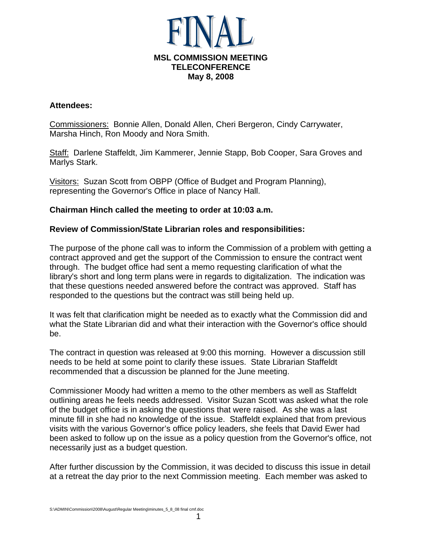

#### **Attendees:**

Commissioners: Bonnie Allen, Donald Allen, Cheri Bergeron, Cindy Carrywater, Marsha Hinch, Ron Moody and Nora Smith.

Staff: Darlene Staffeldt, Jim Kammerer, Jennie Stapp, Bob Cooper, Sara Groves and Marlys Stark.

Visitors: Suzan Scott from OBPP (Office of Budget and Program Planning), representing the Governor's Office in place of Nancy Hall.

## **Chairman Hinch called the meeting to order at 10:03 a.m.**

## **Review of Commission/State Librarian roles and responsibilities:**

The purpose of the phone call was to inform the Commission of a problem with getting a contract approved and get the support of the Commission to ensure the contract went through. The budget office had sent a memo requesting clarification of what the library's short and long term plans were in regards to digitalization. The indication was that these questions needed answered before the contract was approved. Staff has responded to the questions but the contract was still being held up.

It was felt that clarification might be needed as to exactly what the Commission did and what the State Librarian did and what their interaction with the Governor's office should be.

The contract in question was released at 9:00 this morning. However a discussion still needs to be held at some point to clarify these issues. State Librarian Staffeldt recommended that a discussion be planned for the June meeting.

Commissioner Moody had written a memo to the other members as well as Staffeldt outlining areas he feels needs addressed. Visitor Suzan Scott was asked what the role of the budget office is in asking the questions that were raised. As she was a last minute fill in she had no knowledge of the issue. Staffeldt explained that from previous visits with the various Governor's office policy leaders, she feels that David Ewer had been asked to follow up on the issue as a policy question from the Governor's office, not necessarily just as a budget question.

After further discussion by the Commission, it was decided to discuss this issue in detail at a retreat the day prior to the next Commission meeting. Each member was asked to